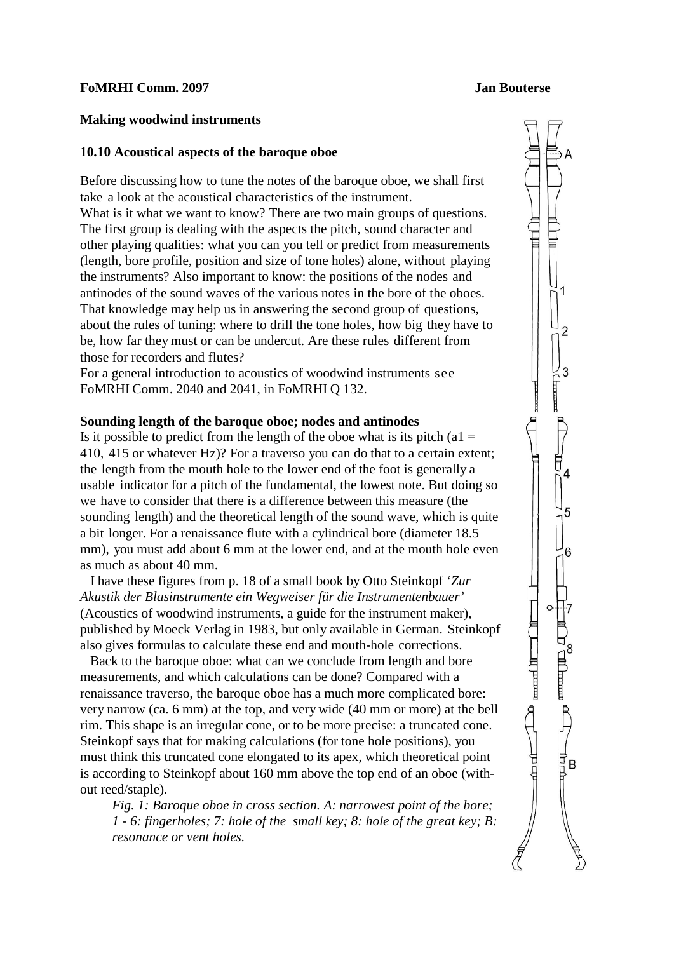#### **FoMRHI Comm. 2097 Jan Bouterse**

### **Making woodwind instruments**

### **10.10 Acoustical aspects of the baroque oboe**

Before discussing how to tune the notes of the baroque oboe, we shall first take a look at the acoustical characteristics of the instrument. What is it what we want to know? There are two main groups of questions. The first group is dealing with the aspects the pitch, sound character and other playing qualities: what you can you tell or predict from measurements (length, bore profile, position and size of tone holes) alone, without playing the instruments? Also important to know: the positions of the nodes and antinodes of the sound waves of the various notes in the bore of the oboes. That knowledge may help us in answering the second group of questions, about the rules of tuning: where to drill the tone holes, how big they have to be, how far they must or can be undercut. Are these rules different from those for recorders and flutes?

For a general introduction to acoustics of woodwind instruments see FoMRHI Comm. 2040 and 2041, in FoMRHI Q 132.

## **Sounding length of the baroque oboe; nodes and antinodes**

Is it possible to predict from the length of the oboe what is its pitch (a1  $=$ 410, 415 or whatever Hz)? For a traverso you can do that to a certain extent; the length from the mouth hole to the lower end of the foot is generally a usable indicator for a pitch of the fundamental, the lowest note. But doing so we have to consider that there is a difference between this measure (the sounding length) and the theoretical length of the sound wave, which is quite a bit longer. For a renaissance flute with a cylindrical bore (diameter 18.5 mm), you must add about 6 mm at the lower end, and at the mouth hole even as much as about 40 mm.

 I have these figures from p. 18 of a small book by Otto Steinkopf '*Zur Akustik der Blasinstrumente ein Wegweiser für die Instrumentenbauer'* (Acoustics of woodwind instruments, a guide for the instrument maker), published by Moeck Verlag in 1983, but only available in German. Steinkopf also gives formulas to calculate these end and mouth-hole corrections.

 Back to the baroque oboe: what can we conclude from length and bore measurements, and which calculations can be done? Compared with a renaissance traverso, the baroque oboe has a much more complicated bore: very narrow (ca. 6 mm) at the top, and very wide (40 mm or more) at the bell rim. This shape is an irregular cone, or to be more precise: a truncated cone. Steinkopf says that for making calculations (for tone hole positions), you must think this truncated cone elongated to its apex, which theoretical point is according to Steinkopf about 160 mm above the top end of an oboe (without reed/staple).

*Fig. 1: Baroque oboe in cross section. A: narrowest point of the bore; 1 - 6: fingerholes; 7: hole of the small key; 8: hole of the great key; B: resonance or vent holes.*

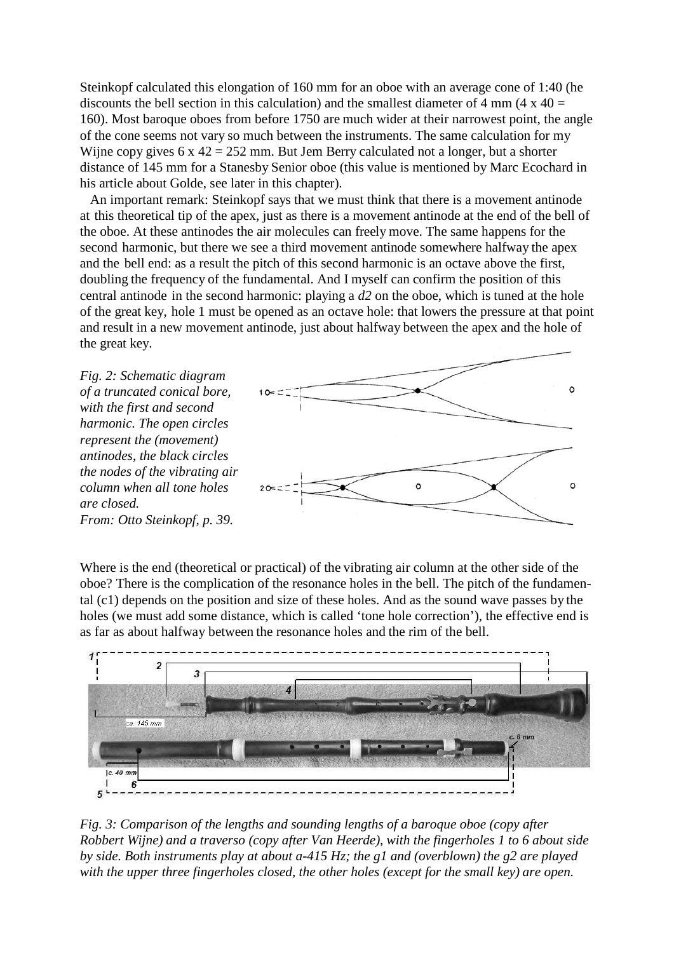Steinkopf calculated this elongation of 160 mm for an oboe with an average cone of 1:40 (he discounts the bell section in this calculation) and the smallest diameter of 4 mm (4  $\times$  40 = 160). Most baroque oboes from before 1750 are much wider at their narrowest point, the angle of the cone seems not vary so much between the instruments. The same calculation for my Wijne copy gives 6 x 42 = 252 mm. But Jem Berry calculated not a longer, but a shorter distance of 145 mm for a Stanesby Senior oboe (this value is mentioned by Marc Ecochard in his article about Golde, see later in this chapter).

 An important remark: Steinkopf says that we must think that there is a movement antinode at this theoretical tip of the apex, just as there is a movement antinode at the end of the bell of the oboe. At these antinodes the air molecules can freely move. The same happens for the second harmonic, but there we see a third movement antinode somewhere halfway the apex and the bell end: as a result the pitch of this second harmonic is an octave above the first, doubling the frequency of the fundamental. And I myself can confirm the position of this central antinode in the second harmonic: playing a *d2* on the oboe, which is tuned at the hole of the great key, hole 1 must be opened as an octave hole: that lowers the pressure at that point and result in a new movement antinode, just about halfway between the apex and the hole of the great key.

*Fig. 2: Schematic diagram of a truncated conical bore, with the first and second harmonic. The open circles represent the (movement) antinodes, the black circles the nodes of the vibrating air column when all tone holes are closed. From: Otto Steinkopf, p. 39.*



Where is the end (theoretical or practical) of the vibrating air column at the other side of the oboe? There is the complication of the resonance holes in the bell. The pitch of the fundamental (c1) depends on the position and size of these holes. And as the sound wave passes by the holes (we must add some distance, which is called 'tone hole correction'), the effective end is as far as about halfway between the resonance holes and the rim of the bell.



*Fig. 3: Comparison of the lengths and sounding lengths of a baroque oboe (copy after*  $\overline{a}$ *) Robbert Wijne) and a traverso (copy after Van Heerde), with the fingerholes 1 to 6 about side by side. Both instruments play at about a-415 Hz; the g1 and (overblown) the g2 are played with the upper three fingerholes closed, the other holes (except for the small key) are open.*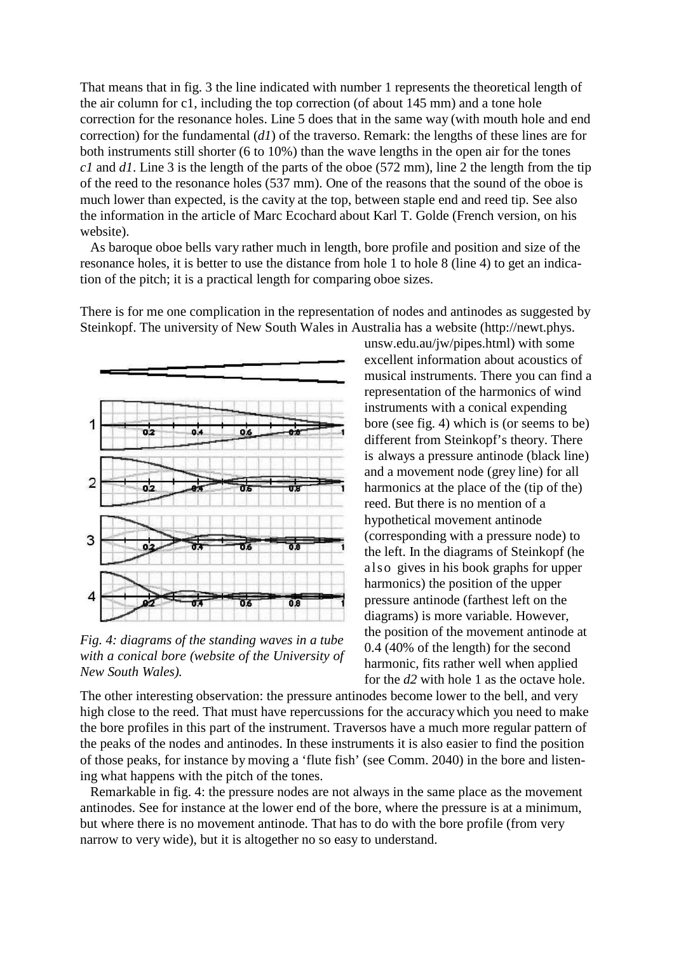That means that in fig. 3 the line indicated with number 1 represents the theoretical length of the air column for c1, including the top correction (of about 145 mm) and a tone hole correction for the resonance holes. Line 5 does that in the same way (with mouth hole and end correction) for the fundamental (*d1*) of the traverso. Remark: the lengths of these lines are for both instruments still shorter (6 to 10%) than the wave lengths in the open air for the tones *c1* and *d1*. Line 3 is the length of the parts of the oboe (572 mm), line 2 the length from the tip of the reed to the resonance holes (537 mm). One of the reasons that the sound of the oboe is much lower than expected, is the cavity at the top, between staple end and reed tip. See also the information in the article of Marc Ecochard about Karl T. Golde (French version, on his website).

 As baroque oboe bells vary rather much in length, bore profile and position and size of the resonance holes, it is better to use the distance from hole 1 to hole 8 (line 4) to get an indication of the pitch; it is a practical length for comparing oboe sizes.

There is for me one complication in the representation of nodes and antinodes as suggested by Steinkopf. The university of New South Wales [in Australia has a website \(http://newt.phys.](http://newt.phys/)



*Fig. 4: diagrams of the standing waves in a tube with a conical bore (website of the University of New South Wales).*

unsw.edu.au/jw/pipes.html) with some excellent information about acoustics of musical instruments. There you can find a representation of the harmonics of wind instruments with a conical expending bore (see fig. 4) which is (or seems to be) different from Steinkopf's theory. There is always a pressure antinode (black line) and a movement node (grey line) for all harmonics at the place of the (tip of the) reed. But there is no mention of a hypothetical movement antinode (corresponding with a pressure node) to the left. In the diagrams of Steinkopf (he also gives in his book graphs for upper harmonics) the position of the upper pressure antinode (farthest left on the diagrams) is more variable. However, the position of the movement antinode at 0.4 (40% of the length) for the second harmonic, fits rather well when applied for the *d2* with hole 1 as the octave hole.

The other interesting observation: the pressure antinodes become lower to the bell, and very high close to the reed. That must have repercussions for the accuracywhich you need to make the bore profiles in this part of the instrument. Traversos have a much more regular pattern of the peaks of the nodes and antinodes. In these instruments it is also easier to find the position of those peaks, for instance by moving a 'flute fish' (see Comm. 2040) in the bore and listening what happens with the pitch of the tones.

 Remarkable in fig. 4: the pressure nodes are not always in the same place as the movement antinodes. See for instance at the lower end of the bore, where the pressure is at a minimum, but where there is no movement antinode. That has to do with the bore profile (from very narrow to very wide), but it is altogether no so easy to understand.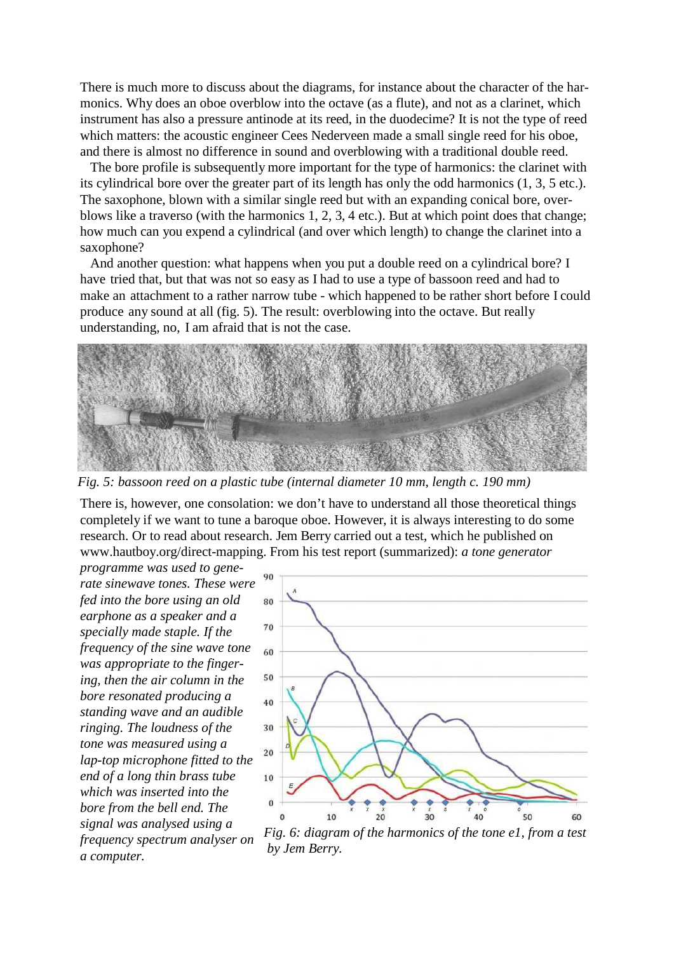There is much more to discuss about the diagrams, for instance about the character of the harmonics. Why does an oboe overblow into the octave (as a flute), and not as a clarinet, which instrument has also a pressure antinode at its reed, in the duodecime? It is not the type of reed which matters: the acoustic engineer Cees Nederveen made a small single reed for his oboe, and there is almost no difference in sound and overblowing with a traditional double reed.

 The bore profile is subsequently more important for the type of harmonics: the clarinet with its cylindrical bore over the greater part of its length has only the odd harmonics (1, 3, 5 etc.). The saxophone, blown with a similar single reed but with an expanding conical bore, overblows like a traverso (with the harmonics 1, 2, 3, 4 etc.). But at which point does that change; how much can you expend a cylindrical (and over which length) to change the clarinet into a saxophone?

And another question: what happens when you put a double reed on a cylindrical bore? I have tried that, but that was not so easy as I had to use a type of bassoon reed and had to make an attachment to a rather narrow tube - which happened to be rather short before I could produce any sound at all (fig. 5). The result: overblowing into the octave. But really understanding, no, I am afraid that is not the case.



*Fig. 5: bassoon reed on a plastic tube (internal diameter 10 mm, length c. 190 mm)*

There is, however, one consolation: we don't have to understand all those theoretical things completely if we want to tune a baroque oboe. However, it is always interesting to do some research. Or to read about research. Jem Berry carried out a test, which he published o[n](http://www.hautboy.org/direct-mapping) [www.hautboy.org/direct-mapping.](http://www.hautboy.org/direct-mapping) From his test report (summarized): *a tone generator*

*programme was used to generate sinewave tones. These were fed into the bore using an old earphone as a speaker and a specially made staple. If the frequency of the sine wave tone was appropriate to the fingering, then the air column in the bore resonated producing a standing wave and an audible ringing. The loudness of the tone was measured using a lap-top microphone fitted to the end of a long thin brass tube which was inserted into the bore from the bell end. The signal was analysed using a frequency spectrum analyser on a computer. by Jem Berry.*



*Fig. 6: diagram of the harmonics of the tone e1, from a test*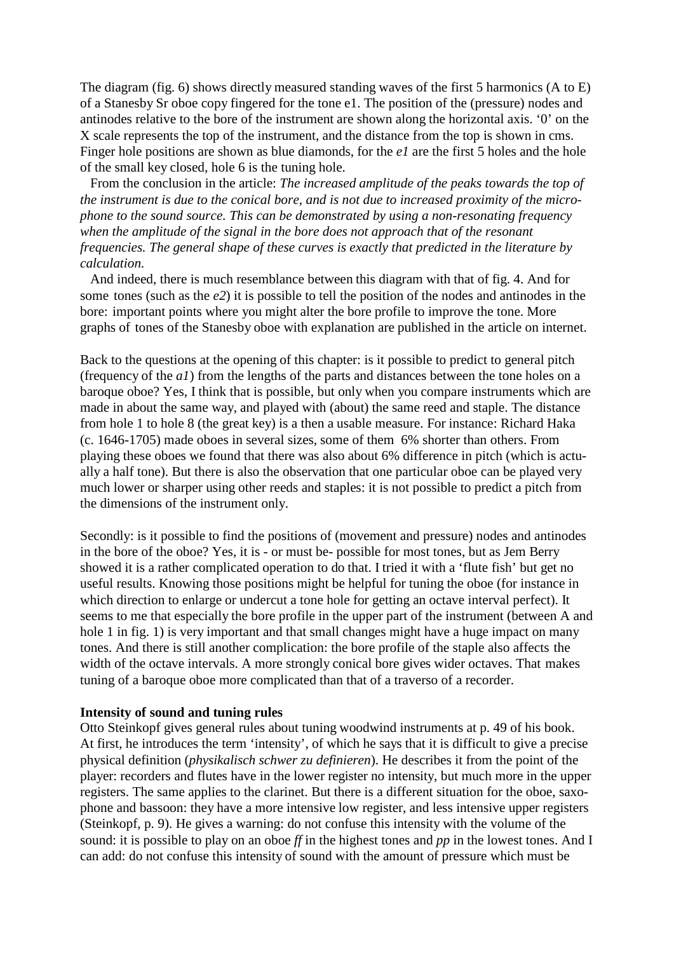The diagram (fig. 6) shows directly measured standing waves of the first 5 harmonics (A to E) of a Stanesby Sr oboe copy fingered for the tone e1. The position of the (pressure) nodes and antinodes relative to the bore of the instrument are shown along the horizontal axis. '0' on the X scale represents the top of the instrument, and the distance from the top is shown in cms. Finger hole positions are shown as blue diamonds, for the *e1* are the first 5 holes and the hole of the small key closed, hole 6 is the tuning hole.

 From the conclusion in the article: *The increased amplitude of the peaks towards the top of the instrument is due to the conical bore, and is not due to increased proximity of the microphone to the sound source. This can be demonstrated by using a non-resonating frequency when the amplitude of the signal in the bore does not approach that of the resonant frequencies. The general shape of these curves is exactly that predicted in the literature by calculation.*

 And indeed, there is much resemblance between this diagram with that of fig. 4. And for some tones (such as the *e2*) it is possible to tell the position of the nodes and antinodes in the bore: important points where you might alter the bore profile to improve the tone. More graphs of tones of the Stanesby oboe with explanation are published in the article on internet.

Back to the questions at the opening of this chapter: is it possible to predict to general pitch (frequency of the *a1*) from the lengths of the parts and distances between the tone holes on a baroque oboe? Yes, I think that is possible, but only when you compare instruments which are made in about the same way, and played with (about) the same reed and staple. The distance from hole 1 to hole 8 (the great key) is a then a usable measure. For instance: Richard Haka (c. 1646-1705) made oboes in several sizes, some of them 6% shorter than others. From playing these oboes we found that there was also about 6% difference in pitch (which is actually a half tone). But there is also the observation that one particular oboe can be played very much lower or sharper using other reeds and staples: it is not possible to predict a pitch from the dimensions of the instrument only.

Secondly: is it possible to find the positions of (movement and pressure) nodes and antinodes in the bore of the oboe? Yes, it is - or must be- possible for most tones, but as Jem Berry showed it is a rather complicated operation to do that. I tried it with a 'flute fish' but get no useful results. Knowing those positions might be helpful for tuning the oboe (for instance in which direction to enlarge or undercut a tone hole for getting an octave interval perfect). It seems to me that especially the bore profile in the upper part of the instrument (between A and hole 1 in fig. 1) is very important and that small changes might have a huge impact on many tones. And there is still another complication: the bore profile of the staple also affects the width of the octave intervals. A more strongly conical bore gives wider octaves. That makes tuning of a baroque oboe more complicated than that of a traverso of a recorder.

## **Intensity of sound and tuning rules**

Otto Steinkopf gives general rules about tuning woodwind instruments at p. 49 of his book. At first, he introduces the term 'intensity', of which he says that it is difficult to give a precise physical definition (*physikalisch schwer zu definieren*). He describes it from the point of the player: recorders and flutes have in the lower register no intensity, but much more in the upper registers. The same applies to the clarinet. But there is a different situation for the oboe, saxophone and bassoon: they have a more intensive low register, and less intensive upper registers (Steinkopf, p. 9). He gives a warning: do not confuse this intensity with the volume of the sound: it is possible to play on an oboe *ff* in the highest tones and *pp* in the lowest tones. And I can add: do not confuse this intensity of sound with the amount of pressure which must be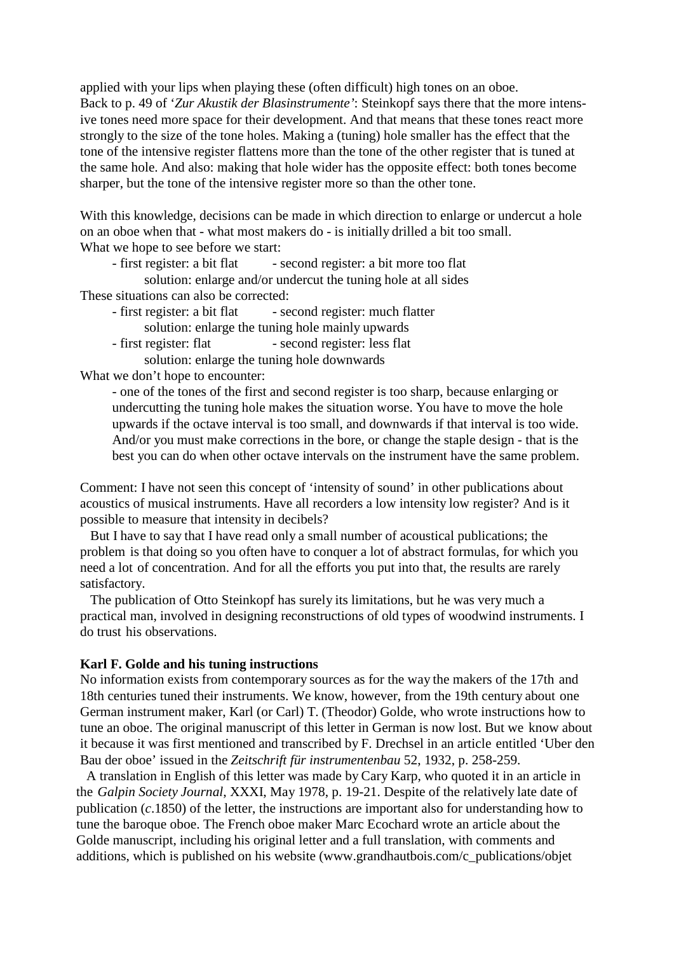applied with your lips when playing these (often difficult) high tones on an oboe. Back to p. 49 of '*Zur Akustik der Blasinstrumente'*: Steinkopf says there that the more intensive tones need more space for their development. And that means that these tones react more strongly to the size of the tone holes. Making a (tuning) hole smaller has the effect that the tone of the intensive register flattens more than the tone of the other register that is tuned at the same hole. And also: making that hole wider has the opposite effect: both tones become sharper, but the tone of the intensive register more so than the other tone.

With this knowledge, decisions can be made in which direction to enlarge or undercut a hole on an oboe when that - what most makers do - is initially drilled a bit too small. What we hope to see before we start:<br>- first register: a bit flat -

- second register: a bit more too flat

solution: enlarge and/or undercut the tuning hole at all sides These situations can also be corrected:

- first register: a bit flat second register: much flatter solution: enlarge the tuning hole mainly upwards
- first register: flat second register: less flat solution: enlarge the tuning hole downwards

What we don't hope to encounter:

- one of the tones of the first and second register is too sharp, because enlarging or undercutting the tuning hole makes the situation worse. You have to move the hole upwards if the octave interval is too small, and downwards if that interval is too wide. And/or you must make corrections in the bore, or change the staple design - that is the best you can do when other octave intervals on the instrument have the same problem.

Comment: I have not seen this concept of 'intensity of sound' in other publications about acoustics of musical instruments. Have all recorders a low intensity low register? And is it possible to measure that intensity in decibels?

 But I have to say that I have read only a small number of acoustical publications; the problem is that doing so you often have to conquer a lot of abstract formulas, for which you need a lot of concentration. And for all the efforts you put into that, the results are rarely satisfactory.

 The publication of Otto Steinkopf has surely its limitations, but he was very much a practical man, involved in designing reconstructions of old types of woodwind instruments. I do trust his observations.

# **Karl F. Golde and his tuning instructions**

No information exists from contemporary sources as for the way the makers of the 17th and 18th centuries tuned their instruments. We know, however, from the 19th century about one German instrument maker, Karl (or Carl) T. (Theodor) Golde, who wrote instructions how to tune an oboe. The original manuscript of this letter in German is now lost. But we know about it because it was first mentioned and transcribed by F. Drechsel in an article entitled 'Uber den Bau der oboe' issued in the *Zeitschrift für instrumentenbau* 52, 1932, p. 258-259.

 A translation in English of this letter was made by Cary Karp, who quoted it in an article in the *Galpin Society Journal*, XXXI, May 1978, p. 19-21. Despite of the relatively late date of publication (*c*.1850) of the letter, the instructions are important also for understanding how to tune the baroque oboe. The French oboe maker Marc Ecochard wrote an article about the Golde manuscript, including his original letter and a full translation, with comments an[d](http://www.grandhautbois.com/c_publications/objet) [additions, which is published on his website \(www.grandhautbois.com/c\\_publications/objet](http://www.grandhautbois.com/c_publications/objet)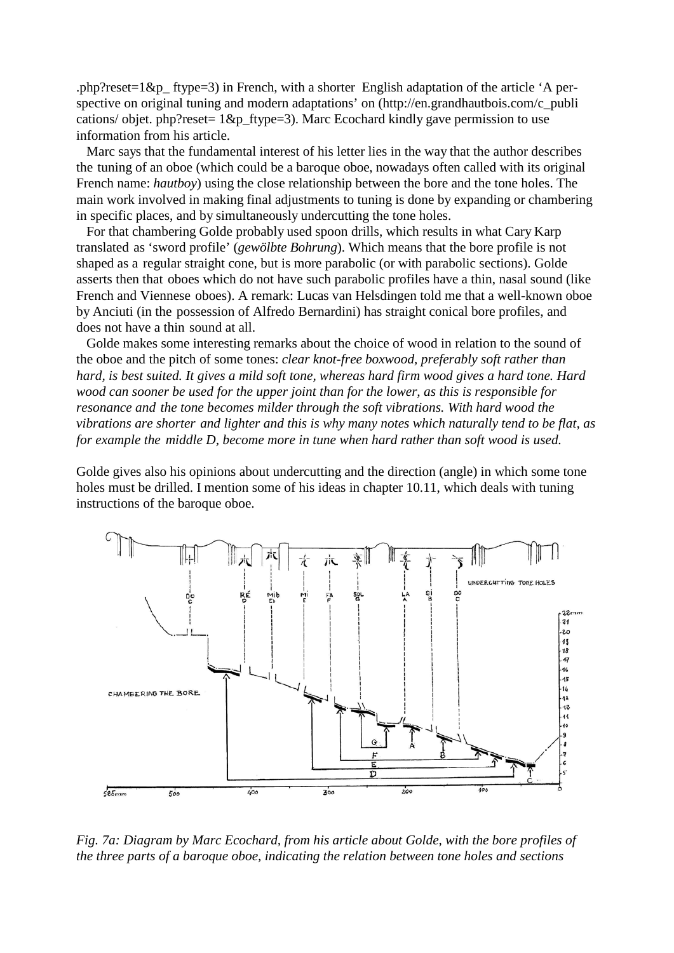.php?reset=1&p\_ ftype=3) in French, with a shorter English adaptation of the article 'A perspective on original tuning and modern adaptations' [on \(http://en.grandhautbois.c](http://en.grandhautbois/)om/c\_publi cations/ objet. php?reset=  $1&p$  ftype=3). Marc Ecochard kindly gave permission to use information from his article.

 Marc says that the fundamental interest of his letter lies in the way that the author describes the tuning of an oboe (which could be a baroque oboe, nowadays often called with its original French name: *hautboy*) using the close relationship between the bore and the tone holes. The main work involved in making final adjustments to tuning is done by expanding or chambering in specific places, and by simultaneously undercutting the tone holes.

 For that chambering Golde probably used spoon drills, which results in what Cary Karp translated as 'sword profile' (*gewölbte Bohrung*). Which means that the bore profile is not shaped as a regular straight cone, but is more parabolic (or with parabolic sections). Golde asserts then that oboes which do not have such parabolic profiles have a thin, nasal sound (like French and Viennese oboes). A remark: Lucas van Helsdingen told me that a well-known oboe by Anciuti (in the possession of Alfredo Bernardini) has straight conical bore profiles, and does not have a thin sound at all.

 Golde makes some interesting remarks about the choice of wood in relation to the sound of the oboe and the pitch of some tones: *clear knot-free boxwood, preferably soft rather than hard, is best suited. It gives a mild soft tone, whereas hard firm wood gives a hard tone. Hard wood can sooner be used for the upper joint than for the lower, as this is responsible for resonance and the tone becomes milder through the soft vibrations. With hard wood the vibrations are shorter and lighter and this is why many notes which naturally tend to be flat, as for example the middle D, become more in tune when hard rather than soft wood is used.*

Golde gives also his opinions about undercutting and the direction (angle) in which some tone holes must be drilled. I mention some of his ideas in chapter 10.11, which deals with tuning instructions of the baroque oboe.



*Fig. 7a: Diagram by Marc Ecochard, from his article about Golde, with the bore profiles of the three parts of a baroque oboe, indicating the relation between tone holes and sections*